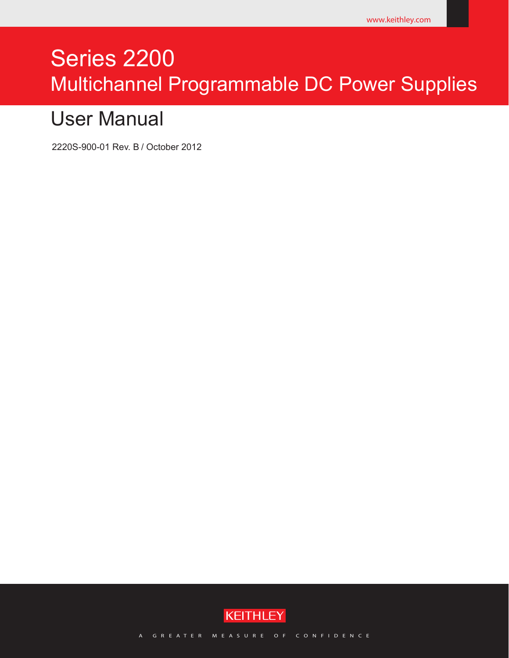# Series 2200 Multichannel Programmable DC Power Supplies

# User Manual

2220S-900-01 Rev. B / October 2012



A GREATER MEASURE OF CONFIDENCE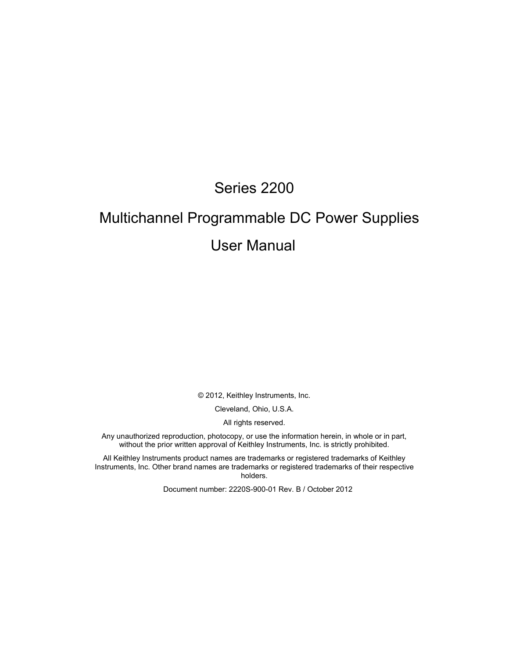# Series 2200

# Multichannel Programmable DC Power Supplies User Manual

© 2012, Keithley Instruments, Inc.

Cleveland, Ohio, U.S.A.

All rights reserved.

Any unauthorized reproduction, photocopy, or use the information herein, in whole or in part, without the prior written approval of Keithley Instruments, Inc. is strictly prohibited.

All Keithley Instruments product names are trademarks or registered trademarks of Keithley Instruments, Inc. Other brand names are trademarks or registered trademarks of their respective holders.

Document number: 2220S-900-01 Rev. B / October 2012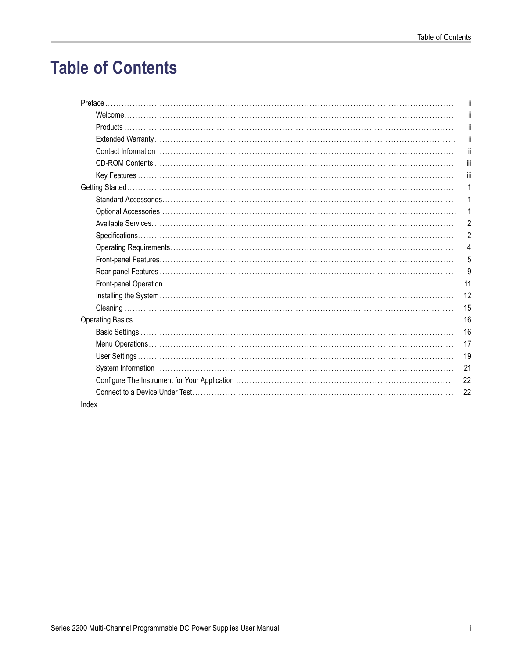# **Table of Contents**

|       | ji             |
|-------|----------------|
|       | jï             |
|       | ji             |
|       | jj             |
|       | jj             |
|       | Ϊij            |
|       | iii            |
|       | 1              |
|       | 1              |
|       | 1              |
|       | $\overline{c}$ |
|       | $\overline{2}$ |
|       | 4              |
|       | 5              |
|       | 9              |
|       | 11             |
|       | 12             |
|       | 15             |
|       | 16             |
|       | 16             |
|       | 17             |
|       | 19             |
|       | 21             |
|       | 22             |
|       | 22             |
| Index |                |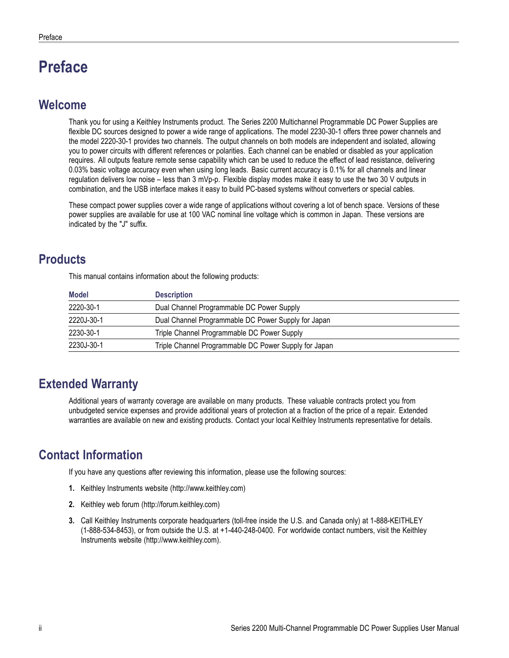# <span id="page-5-0"></span>**Preface**

### **Welcome**

Thank you for using a Keithley Instruments product. The Series 2200 Multichannel Programmable DC Power Supplies are flexible DC sources designed to power a wide range of applications. The model 2230-30-1 offers three power channels and the model 2220-30-1 provides two channels. The output channels on both models are independent and isolated, allowing you to power circuits with different references or polarities. Each channel can be enabled or disabled as your application requires. All outputs feature remote sense capability which can be used to reduce the effect of lead resistance, delivering 0.03% basic voltage accuracy even when using long leads. Basic current accuracy is 0.1% for all channels and linear regulation delivers low noise – less than 3 mVp-p. Flexible display modes make it easy to use the two 30 V outputs in combination, and the USB interface makes it easy to build PC-based systems without converters or special cables.

These compact power supplies cover a wide range of applications without covering a lot of bench space. Versions of these power supplies are available for use at 100 VAC nominal line voltage which is common in Japan. These versions are indicated by the "J" suffix.

# **Products**

This manual contains information about the following products:

| <b>Model</b> | <b>Description</b>                                    |
|--------------|-------------------------------------------------------|
| 2220-30-1    | Dual Channel Programmable DC Power Supply             |
| 2220J-30-1   | Dual Channel Programmable DC Power Supply for Japan   |
| 2230-30-1    | Triple Channel Programmable DC Power Supply           |
| 2230J-30-1   | Triple Channel Programmable DC Power Supply for Japan |

# **Extended Warranty**

Additional years of warranty coverage are available on many products. These valuable contracts protect you from unbudgeted service expenses and provide additional years of protection at a fraction of the price of a repair. Extended warranties are available on new and existing products. Contact your local Keithley Instruments representative for details.

# **Contact Information**

If you have any questions after reviewing this information, please use the following sources:

- **1.** Keithley Instruments website (http://www.keithley.com)
- **2.** Keithley web forum (http://forum.keithley.com)
- **3.** Call Keithley Instruments corporate headquarters (toll-free inside the U.S. and Canada only) at 1-888-KEITHLEY (1-888-534-8453), or from outside the U.S. at +1-440-248-0400. For worldwide contact numbers, visit the Keithley Instruments website (http://www.keithley.com).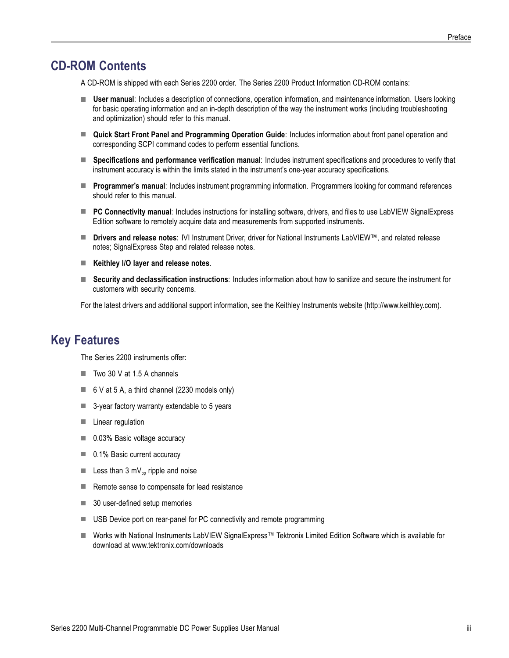## <span id="page-6-0"></span>**CD-ROM Contents**

A CD-ROM is shipped with each Series 2200 order. The Series 2200 Product Information CD-ROM contains:

- **User manual**: Includes a description of connections, operation information, and maintenance information. Users looking for basic operating information and an in-depth description of the way the instrument works (including troubleshooting and optimization) should refer to this manual.
- **Quick Start Front Panel and Programming Operation Guide**: Includes information about front panel operation and corresponding SCPI command codes to perform essential functions.
- **Specifications and performance verification manual**: Includes instrument specifications and procedures to verify that instrument accuracy is within the limits stated in the instrument's one-year accuracy specifications.
- **Programmer's manual**: Includes instrument programming information. Programmers looking for command references should refer to this manual.
- **PC Connectivity manual**: Includes instructions for installing software, drivers, and files to use LabVIEW SignalExpress Edition software to remotely acquire data and measurements from supported instruments.
- **Drivers and release notes**: IVI Instrument Driver, driver for National Instruments LabVIEW™, and related release **The State** notes; SignalExpress Step and related release notes.
- **Keithley I/O layer and release notes**.
- **Security and declassification instructions**: Includes information about how to sanitize and secure the instrument for customers with security concerns.

For the latest drivers and additional support information, see the Keithley Instruments website (http://www.keithley.com).

### **Key Features**

The Series 2200 instruments offer:

- $\blacksquare$  Two 30 V at 1.5 A channels
- $\blacksquare$  6 V at 5 A, a third channel (2230 models only)
- 3-year factory warranty extendable to 5 years
- **Linear regulation**
- 0.03% Basic voltage accuracy
- 0.1% Basic current accuracy
- Less than 3 mV<sub>pp</sub> ripple and noise
- Remote sense to compensate for lead resistance
- 30 user-defined setup memories
- USB Device port on rear-panel for PC connectivity and remote programming
- Works with National Instruments LabVIEW SignalExpress™ Tektronix Limited Edition Software which is available for download at www.tektronix.com/downloads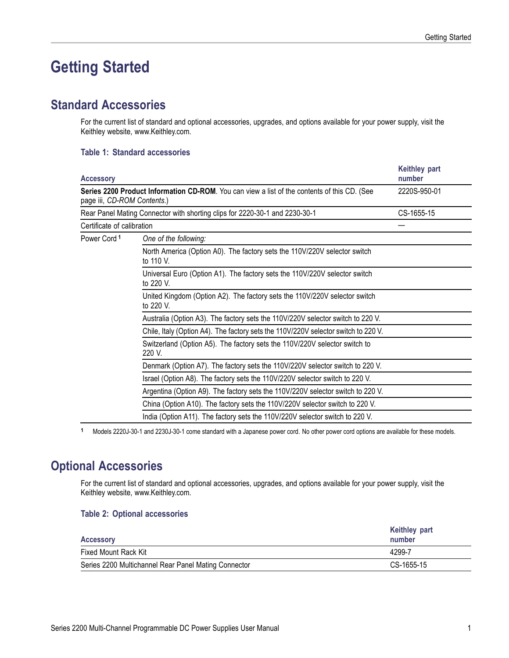# <span id="page-8-0"></span>**Getting Started**

### **Standard Accessories**

For the current list of standard and optional accessories, upgrades, and options available for your power supply, visit the Keithley website, www.Keithley.com.

#### **Table 1: Standard accessories**

| <b>Accessory</b>            | <b>Keithley part</b><br>number                                                               |              |  |  |
|-----------------------------|----------------------------------------------------------------------------------------------|--------------|--|--|
| page iii, CD-ROM Contents.) | Series 2200 Product Information CD-ROM. You can view a list of the contents of this CD. (See | 2220S-950-01 |  |  |
|                             | Rear Panel Mating Connector with shorting clips for 2220-30-1 and 2230-30-1                  | CS-1655-15   |  |  |
| Certificate of calibration  |                                                                                              |              |  |  |
| Power Cord <sup>1</sup>     | One of the following:                                                                        |              |  |  |
|                             | North America (Option A0). The factory sets the 110V/220V selector switch<br>to 110 V.       |              |  |  |
|                             | Universal Euro (Option A1). The factory sets the 110V/220V selector switch<br>to 220 V.      |              |  |  |
|                             | United Kingdom (Option A2). The factory sets the 110V/220V selector switch<br>to 220 V.      |              |  |  |
|                             | Australia (Option A3). The factory sets the 110V/220V selector switch to 220 V.              |              |  |  |
|                             | Chile, Italy (Option A4). The factory sets the 110V/220V selector switch to 220 V.           |              |  |  |
|                             | Switzerland (Option A5). The factory sets the 110V/220V selector switch to<br>220 V.         |              |  |  |
|                             | Denmark (Option A7). The factory sets the 110V/220V selector switch to 220 V.                |              |  |  |
|                             | Israel (Option A8). The factory sets the 110V/220V selector switch to 220 V.                 |              |  |  |
|                             | Argentina (Option A9). The factory sets the 110V/220V selector switch to 220 V.              |              |  |  |
|                             | China (Option A10). The factory sets the 110V/220V selector switch to 220 V.                 |              |  |  |
|                             | India (Option A11). The factory sets the 110V/220V selector switch to 220 V.                 |              |  |  |

**1** Models 2220J-30-1 and 2230J-30-1 come standard with a Japanese power cord. No other power cord options are available for these models.

## **Optional Accessories**

For the current list of standard and optional accessories, upgrades, and options available for your power supply, visit the Keithley website, www.Keithley.com.

#### **Table 2: Optional accessories**

| <b>Accessory</b>                                     | <b>Keithley part</b><br>number |
|------------------------------------------------------|--------------------------------|
| Fixed Mount Rack Kit                                 | 4299-7                         |
| Series 2200 Multichannel Rear Panel Mating Connector | CS-1655-15                     |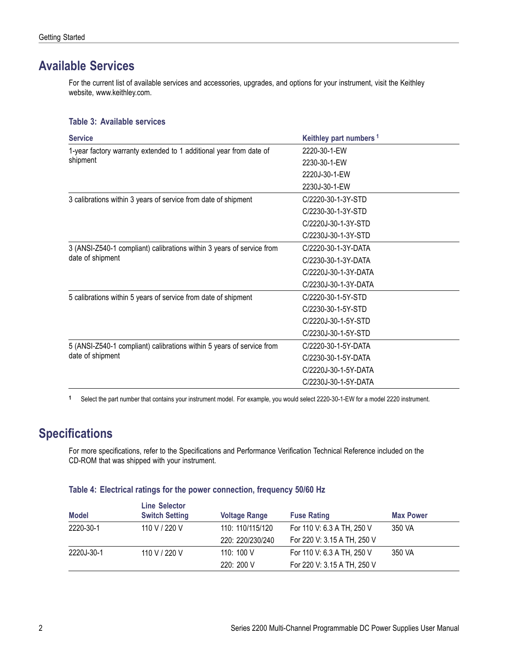## <span id="page-9-0"></span>**Available Services**

For the current list of available services and accessories, upgrades, and options for your instrument, visit the Keithley website, www.keithley.com.

#### **Table 3: Available services**

| <b>Service</b>                                                        | Keithley part numbers <sup>1</sup> |
|-----------------------------------------------------------------------|------------------------------------|
| 1-year factory warranty extended to 1 additional year from date of    | 2220-30-1-EW                       |
| shipment                                                              | 2230-30-1-EW                       |
|                                                                       | 2220J-30-1-EW                      |
|                                                                       | 2230J-30-1-EW                      |
| 3 calibrations within 3 years of service from date of shipment        | C/2220-30-1-3Y-STD                 |
|                                                                       | C/2230-30-1-3Y-STD                 |
|                                                                       | C/2220J-30-1-3Y-STD                |
|                                                                       | C/2230J-30-1-3Y-STD                |
| 3 (ANSI-Z540-1 compliant) calibrations within 3 years of service from | C/2220-30-1-3Y-DATA                |
| date of shipment                                                      | C/2230-30-1-3Y-DATA                |
|                                                                       | C/2220J-30-1-3Y-DATA               |
|                                                                       | C/2230J-30-1-3Y-DATA               |
| 5 calibrations within 5 years of service from date of shipment        | C/2220-30-1-5Y-STD                 |
|                                                                       | C/2230-30-1-5Y-STD                 |
|                                                                       | C/2220J-30-1-5Y-STD                |
|                                                                       | C/2230J-30-1-5Y-STD                |
| 5 (ANSI-Z540-1 compliant) calibrations within 5 years of service from | C/2220-30-1-5Y-DATA                |
| date of shipment                                                      | C/2230-30-1-5Y-DATA                |
|                                                                       | C/2220J-30-1-5Y-DATA               |
|                                                                       | C/2230J-30-1-5Y-DATA               |

**1** Select the part number that contains your instrument model. For example, you would select 2220-30-1-EW for a model 2220 instrument.

# **Specifications**

For more specifications, refer to the Specifications and Performance Verification Technical Reference included on the CD-ROM that was shipped with your instrument.

#### **Table 4: Electrical ratings for the power connection, frequency 50/60 Hz**

| <b>Model</b> | Line Selector<br><b>Switch Setting</b> | <b>Voltage Range</b> | <b>Fuse Rating</b>          | <b>Max Power</b> |
|--------------|----------------------------------------|----------------------|-----------------------------|------------------|
| 2220-30-1    | 110 V / 220 V                          | 110: 110/115/120     | For 110 V: 6.3 A TH, 250 V  | 350 VA           |
|              |                                        | 220: 220/230/240     | For 220 V: 3.15 A TH, 250 V |                  |
| 2220J-30-1   | 110 V / 220 V                          | 110:100V             | For 110 V: 6.3 A TH, 250 V  | 350 VA           |
|              |                                        | 220: 200 V           | For 220 V: 3.15 A TH, 250 V |                  |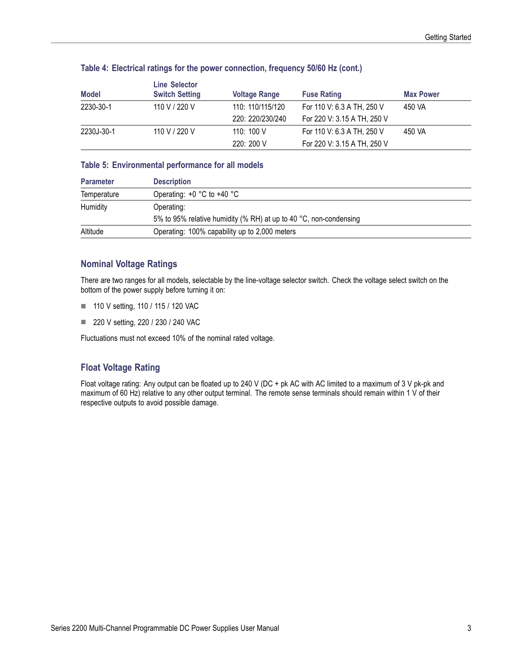| <b>Model</b> | <b>Line Selector</b><br><b>Switch Setting</b> | <b>Voltage Range</b> | <b>Fuse Rating</b>          | <b>Max Power</b> |
|--------------|-----------------------------------------------|----------------------|-----------------------------|------------------|
| 2230-30-1    | 110 V / 220 V                                 | 110: 110/115/120     | For 110 V: 6.3 A TH, 250 V  | 450 VA           |
|              |                                               | 220: 220/230/240     | For 220 V: 3.15 A TH, 250 V |                  |
| 2230J-30-1   | 110 V / 220 V                                 | 110: 100 $V$         | For 110 V: 6.3 A TH, 250 V  | 450 VA           |
|              |                                               | 220: 200 V           | For 220 V: 3.15 A TH, 250 V |                  |

#### **Table 4: Electrical ratings for the power connection, frequency 50/60 Hz (cont.)**

#### **Table 5: Environmental performance for all models**

| <b>Parameter</b> | <b>Description</b>                                                |
|------------------|-------------------------------------------------------------------|
| Temperature      | Operating: $+0$ °C to $+40$ °C                                    |
| Humidity         | Operating:                                                        |
|                  | 5% to 95% relative humidity (% RH) at up to 40 °C, non-condensing |
| Altitude         | Operating: 100% capability up to 2,000 meters                     |

#### **Nominal Voltage Ratings**

There are two ranges for all models, selectable by the line-voltage selector switch. Check the voltage select switch on the bottom of the power supply before turning it on:

- 110 V setting, 110 / 115 / 120 VAC
- 220 V setting, 220 / 230 / 240 VAC

Fluctuations must not exceed 10% of the nominal rated voltage.

### **Float Voltage Rating**

Float voltage rating: Any output can be floated up to 240 V (DC + pk AC with AC limited to a maximum of 3 V pk-pk and maximum of 60 Hz) relative to any other output terminal. The remote sense terminals should remain within 1 V of their respective outputs to avoid possible damage.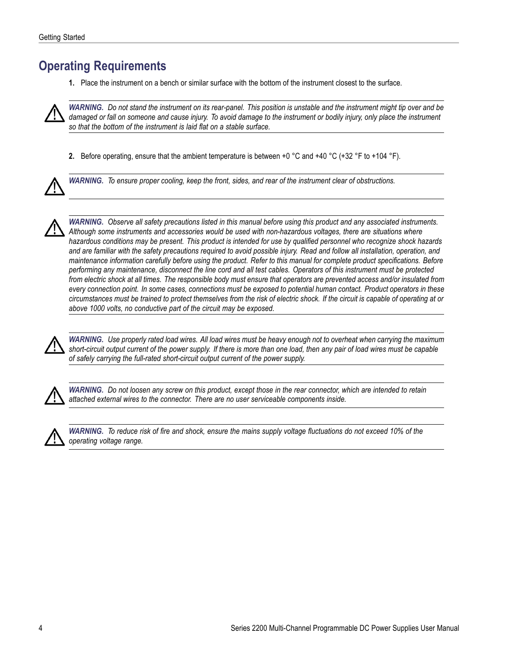## <span id="page-11-0"></span>**Operating Requirements**

**1.** Place the instrument on a bench or similar surface with the bottom of the instrument closest to the surface.



*WARNING. Do not stand the instrument on its rear-panel. This position is unstable and the instrument might tip over and be* damaged or fall on someone and cause injury. To avoid damage to the instrument or bodily injury, only place the instrument *so that the bottom of the instrument is laid flat on a stable surface.*

**2.** Before operating, ensure that the ambient temperature is between +0  $^{\circ}$ C and +40  $^{\circ}$ C (+32  $^{\circ}$ F to +104  $^{\circ}$ F).



*WARNING. To ensure proper cooling, keep the front, sides, and rear of the instrument clear of obstructions.*



*WARNING. Observe all safety precautions listed in this manual before using this product and any associated instruments. Although some instruments and accessories would be used with non-hazardous voltages, there are situations where hazardous conditions may be present. This product is intended for use by qualified personnel who recognize shock hazards and are familiar with the safety precautions required to avoid possible injury. Read and follow all installation, operation, and maintenance information carefully before using the product. Refer to this manual for complete product specifications. Before performing any maintenance, disconnect the line cord and all test cables. Operators of this instrument must be protected from electric shock at all times. The responsible body must ensure that operators are prevented access and/or insulated from every connection point. In some cases, connections must be exposed to potential human contact. Product operators in these circumstances must be trained to protect themselves from the risk of electric shock. If the circuit is capable of operating at or above 1000 volts, no conductive part of the circuit may be exposed.*



*WARNING. Use properly rated load wires. All load wires must be heavy enough not to overheat when carrying the maximum short-circuit output current of the power supply. If there is more than one load, then any pair of load wires must be capable of safely carrying the full-rated short-circuit output current of the power supply.*



*WARNING. Do not loosen any screw on this product, except those in the rear connector, which are intended to retain attached external wires to the connector. There are no user serviceable components inside.*



*WARNING. To reduce risk of fire and shock, ensure the mains supply voltage fluctuations do not exceed 10% of the operating voltage range.*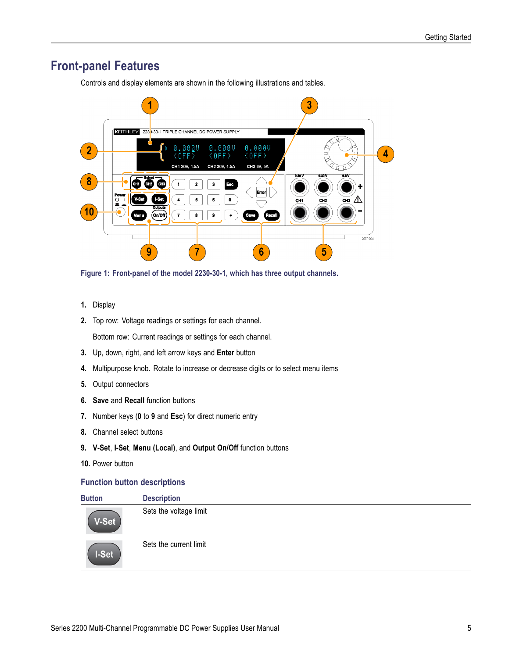# <span id="page-12-0"></span>**Front-panel Features**

Controls and display elements are shown in the following illustrations and tables.



**Figure 1: Front-panel of the model 2230-30-1, which has three output channels.**

- **1.** Display
- **2.** Top row: Voltage readings or settings for each channel.

Bottom row: Current readings or settings for each channel.

- **3.** Up, down, right, and left arrow keys and **Enter** button
- **4.** Multipurpose knob. Rotate to increase or decrease digits or to select menu items
- **5.** Output connectors
- **6. Save** and **Recall** function buttons
- **7.** Number keys (**0** to **9** and **Esc**) for direct numeric entry
- **8.** Channel select buttons
- **9. V-Set**, **I-Set**, **Menu (Local)**, and **Output On/Off** function buttons
- **10.** Power button

#### **Function button descriptions**

| <b>Button</b> | <b>Description</b>     |
|---------------|------------------------|
| V-Set         | Sets the voltage limit |
| I-Set         | Sets the current limit |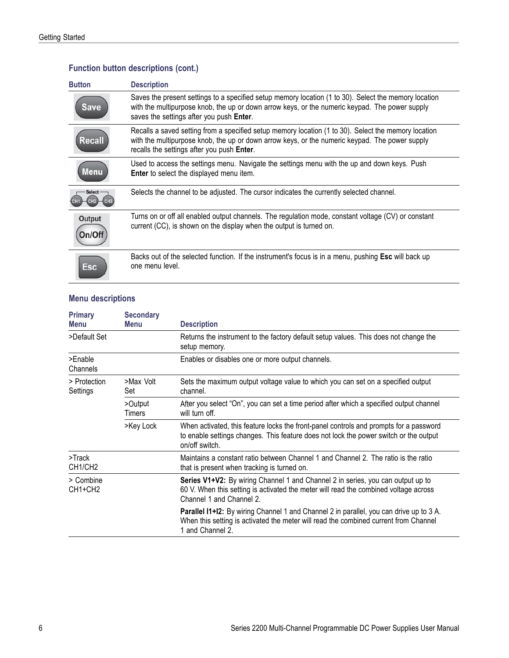| <b>Button</b>    | <b>Description</b>                                                                                                                                                                                                                                   |
|------------------|------------------------------------------------------------------------------------------------------------------------------------------------------------------------------------------------------------------------------------------------------|
| Save             | Saves the present settings to a specified setup memory location (1 to 30). Select the memory location<br>with the multipurpose knob, the up or down arrow keys, or the numeric keypad. The power supply<br>saves the settings after you push Enter.  |
| Recall           | Recalls a saved setting from a specified setup memory location (1 to 30). Select the memory location<br>with the multipurpose knob, the up or down arrow keys, or the numeric keypad. The power supply<br>recalls the settings after you push Enter. |
| Menu             | Used to access the settings menu. Navigate the settings menu with the up and down keys. Push<br>Enter to select the displayed menu item.                                                                                                             |
| <b>Select</b>    | Selects the channel to be adjusted. The cursor indicates the currently selected channel.                                                                                                                                                             |
| Output<br>Dn/Ofl | Turns on or off all enabled output channels. The regulation mode, constant voltage (CV) or constant<br>current (CC), is shown on the display when the output is turned on.                                                                           |
| Esc              | Backs out of the selected function. If the instrument's focus is in a menu, pushing Esc will back up<br>one menu level.                                                                                                                              |

### <span id="page-13-0"></span>**Function button descriptions (cont.)**

### **Menu descriptions**

| <b>Primary</b><br>Menu                        | <b>Secondary</b><br>Menu | <b>Description</b>                                                                                                                                                                                  |
|-----------------------------------------------|--------------------------|-----------------------------------------------------------------------------------------------------------------------------------------------------------------------------------------------------|
| >Default Set                                  |                          | Returns the instrument to the factory default setup values. This does not change the<br>setup memory.                                                                                               |
| >Enable<br>Channels                           |                          | Enables or disables one or more output channels.                                                                                                                                                    |
| > Protection<br>Settings                      | >Max Volt<br>Set         | Sets the maximum output voltage value to which you can set on a specified output<br>channel.                                                                                                        |
|                                               | >Output<br>Timers        | After you select "On", you can set a time period after which a specified output channel<br>will turn off.                                                                                           |
|                                               | >Key Lock                | When activated, this feature locks the front-panel controls and prompts for a password<br>to enable settings changes. This feature does not lock the power switch or the output<br>on/off switch.   |
| $>$ Track<br>CH <sub>1</sub> /CH <sub>2</sub> |                          | Maintains a constant ratio between Channel 1 and Channel 2. The ratio is the ratio<br>that is present when tracking is turned on.                                                                   |
| > Combine<br>CH <sub>1+CH2</sub>              |                          | Series V1+V2: By wiring Channel 1 and Channel 2 in series, you can output up to<br>60 V. When this setting is activated the meter will read the combined voltage across<br>Channel 1 and Channel 2. |
|                                               |                          | Parallel I1+12: By wiring Channel 1 and Channel 2 in parallel, you can drive up to 3 A.<br>When this setting is activated the meter will read the combined current from Channel<br>1 and Channel 2. |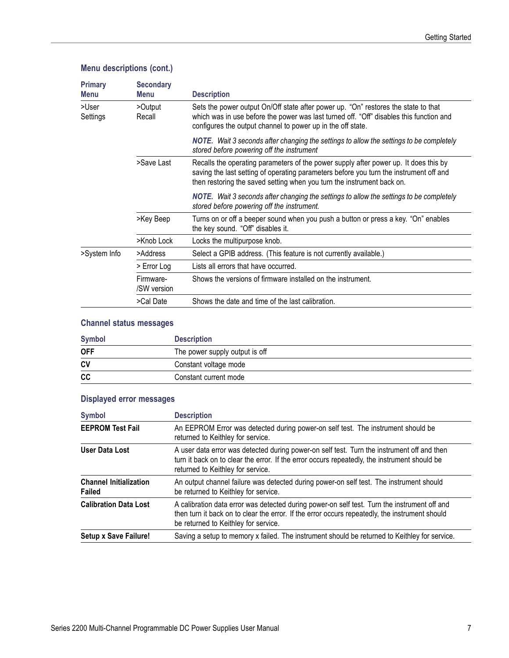### <span id="page-14-0"></span>**Menu descriptions (cont.)**

| <b>Primary</b><br>Menu | <b>Secondary</b><br>Menu | <b>Description</b>                                                                                                                                                                                                                                       |
|------------------------|--------------------------|----------------------------------------------------------------------------------------------------------------------------------------------------------------------------------------------------------------------------------------------------------|
| >User<br>Settings      | >Output<br>Recall        | Sets the power output On/Off state after power up. "On" restores the state to that<br>which was in use before the power was last turned off. "Off" disables this function and<br>configures the output channel to power up in the off state.             |
|                        |                          | <b>NOTE.</b> Wait 3 seconds after changing the settings to allow the settings to be completely<br>stored before powering off the instrument                                                                                                              |
|                        | >Save Last               | Recalls the operating parameters of the power supply after power up. It does this by<br>saving the last setting of operating parameters before you turn the instrument off and<br>then restoring the saved setting when you turn the instrument back on. |
|                        |                          | <b>NOTE.</b> Wait 3 seconds after changing the settings to allow the settings to be completely<br>stored before powering off the instrument.                                                                                                             |
|                        | >Key Beep                | Turns on or off a beeper sound when you push a button or press a key. "On" enables<br>the key sound. "Off" disables it.                                                                                                                                  |
|                        | >Knob Lock               | Locks the multipurpose knob.                                                                                                                                                                                                                             |
| >System Info           | >Address                 | Select a GPIB address. (This feature is not currently available.)                                                                                                                                                                                        |
|                        | > Error Log              | Lists all errors that have occurred.                                                                                                                                                                                                                     |
|                        | Firmware-<br>/SW version | Shows the versions of firmware installed on the instrument.                                                                                                                                                                                              |
|                        | >Cal Date                | Shows the date and time of the last calibration.                                                                                                                                                                                                         |

### **Channel status messages**

| <b>Symbol</b> | <b>Description</b>             |
|---------------|--------------------------------|
| <b>OFF</b>    | The power supply output is off |
| <b>CV</b>     | Constant voltage mode          |
| cc            | Constant current mode          |

### **Displayed error messages**

| <b>Symbol</b>                                  | <b>Description</b>                                                                                                                                                                                                                     |
|------------------------------------------------|----------------------------------------------------------------------------------------------------------------------------------------------------------------------------------------------------------------------------------------|
| <b>EEPROM Test Fail</b>                        | An EEPROM Error was detected during power-on self test. The instrument should be<br>returned to Keithley for service.                                                                                                                  |
| User Data Lost                                 | A user data error was detected during power-on self test. Turn the instrument off and then<br>turn it back on to clear the error. If the error occurs repeatedly, the instrument should be<br>returned to Keithley for service.        |
| <b>Channel Initialization</b><br><b>Failed</b> | An output channel failure was detected during power-on self test. The instrument should<br>be returned to Keithley for service.                                                                                                        |
| <b>Calibration Data Lost</b>                   | A calibration data error was detected during power-on self test. Turn the instrument off and<br>then turn it back on to clear the error. If the error occurs repeatedly, the instrument should<br>be returned to Keithley for service. |
| <b>Setup x Save Failure!</b>                   | Saving a setup to memory x failed. The instrument should be returned to Keithley for service.                                                                                                                                          |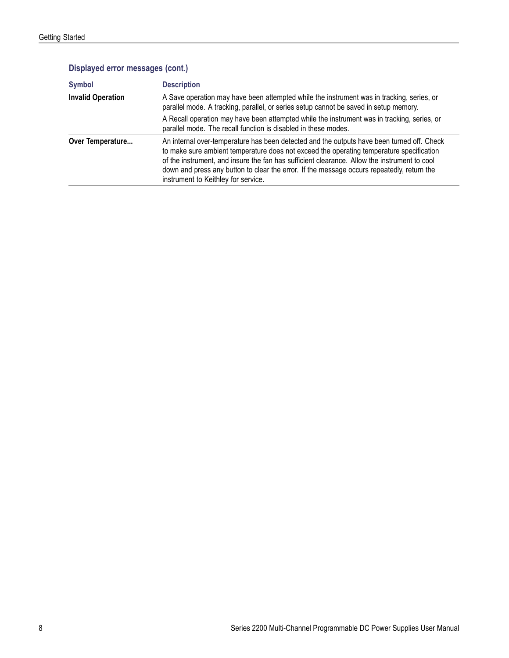| <b>Symbol</b>            | <b>Description</b>                                                                                                                                                                                                                                                                                                                                                                                                          |
|--------------------------|-----------------------------------------------------------------------------------------------------------------------------------------------------------------------------------------------------------------------------------------------------------------------------------------------------------------------------------------------------------------------------------------------------------------------------|
| <b>Invalid Operation</b> | A Save operation may have been attempted while the instrument was in tracking, series, or<br>parallel mode. A tracking, parallel, or series setup cannot be saved in setup memory.                                                                                                                                                                                                                                          |
|                          | A Recall operation may have been attempted while the instrument was in tracking, series, or<br>parallel mode. The recall function is disabled in these modes.                                                                                                                                                                                                                                                               |
| Over Temperature         | An internal over-temperature has been detected and the outputs have been turned off. Check<br>to make sure ambient temperature does not exceed the operating temperature specification<br>of the instrument, and insure the fan has sufficient clearance. Allow the instrument to cool<br>down and press any button to clear the error. If the message occurs repeatedly, return the<br>instrument to Keithley for service. |

### **Displayed error messages (cont.)**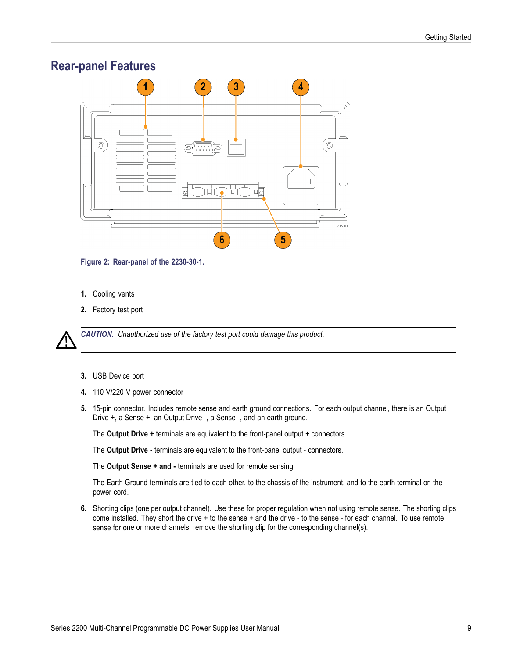# <span id="page-16-0"></span>**Rear-panel Features**



**Figure 2: Rear-panel of the 2230-30-1.**

- **1.** Cooling vents
- **2.** Factory test port

*CAUTION. Unauthorized use of the factory test port could damage this product.*

- **3.** USB Device port
- **4.** 110 V/220 V power connector
- **5.** 15-pin connector. Includes remote sense and earth ground connections. For each output channel, there is an Output Drive +, a Sense +, an Output Drive -, a Sense -, and an earth ground.

The **Output Drive +** terminals are equivalent to the front-panel output + connectors.

The **Output Drive -** terminals are equivalent to the front-panel output - connectors.

The **Output Sense + and -** terminals are used for remote sensing.

The Earth Ground terminals are tied to each other, to the chassis of the instrument, and to the earth terminal on the power cord.

**6.** Shorting clips (one per output channel). Use these for proper regulation when not using remote sense. The shorting clips come installed. They short the drive + to the sense + and the drive - to the sense - for each channel. To use remote sense for one or more channels, remove the shorting clip for the corresponding channel(s).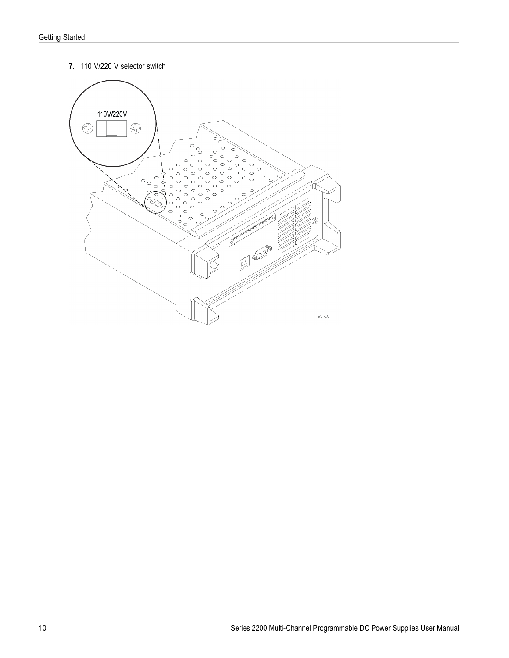<span id="page-17-0"></span>**7.** 110 V/220 V selector switch

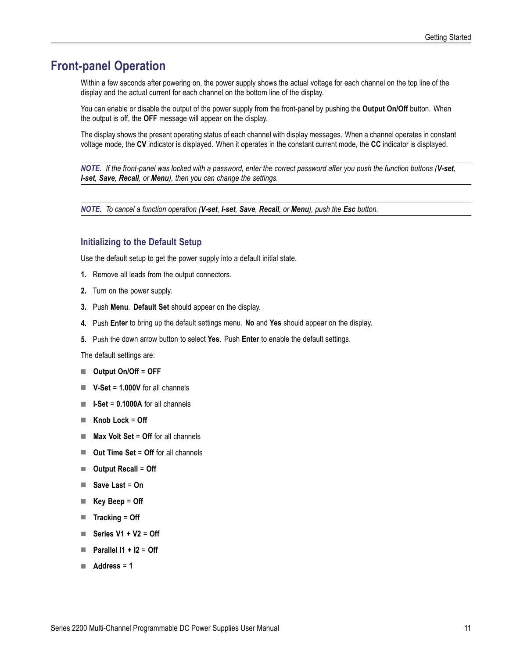### <span id="page-18-0"></span>**Front-panel Operation**

Within a few seconds after powering on, the power supply shows the actual voltage for each channel on the top line of the display and the actual current for each channel on the bottom line of the display.

You can enable or disable the output of the power supply from the front-panel by pushing the **Output On/Off** button. When the output is off, the **OFF** message will appear on the display.

The display shows the present operating status of each channel with display messages. When a channel operates in constant voltage mode, the **CV** indicator is displayed. When it operates in the constant current mode, the **CC** indicator is displayed.

*NOTE. If the front-panel was locked with a password, enter the correct password after you push the function buttons (V-set, I-set, Save, Recall, or Menu), then you can change the settings.*

*NOTE. To cancel a function operation (V-set, I-set, Save, Recall, or Menu), push the Esc button.*

#### **Initializing to the Default Setup**

Use the default setup to get the power supply into a default initial state.

- **1.** Remove all leads from the output connectors.
- **2.** Turn on the power supply.
- **3.** Push **Menu**. **Default Set** should appear on the display.
- **4.** Push **Enter** to bring up the default settings menu. **No** and **Yes** should appear on the display.
- **5.** Push the down arrow button to select **Yes**. Push **Enter** to enable the default settings.

The default settings are:

- **Output On/Off** = **OFF**
- **V-Set** = **1.000V** for all channels
- $I Set = 0.1000A$  for all channels
- **Knob Lock** = **Off**
- **Max Volt Set** = **Off** for all channels **The State**
- **Out Time Set** = **Off** for all channels  $\Box$
- **Output Recall** = **Off**
- **Save Last** = **On**  $\sim$
- **Key Beep** = **Off**
- **Tracking** = **Off**
- **Series V1 + V2** = **Off The Co**
- $\blacksquare$  Parallel I1 + I2 = Off
- **Address** = **1**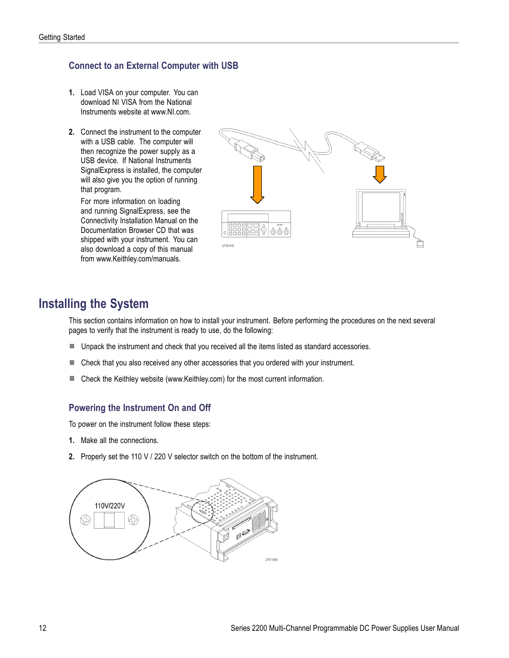### <span id="page-19-0"></span>**Connect to an External Computer with USB**

- **1.** Load VISA on your computer. You can download NI VISA from the National Instruments website at www.NI.com.
- **2.** Connect the instrument to the computer with a USB cable. The computer will then recognize the power supply as a USB device. If National Instruments SignalExpress is installed, the computer will also give you the option of running that program.

For more information on loading and running SignalExpress, see the Connectivity Installation Manual on the Documentation Browser CD that was shipped with your instrument. You can also download a copy of this manual from www.Keithley.com/manuals.



### **Installing the System**

This section contains information on how to install your instrument. Before performing the procedures on the next several pages to verify that the instrument is ready to use, do the following:

- **Unpack the instrument and check that you received all the items listed as standard accessories.**
- $\mathcal{L}_{\mathcal{A}}$ Check that you also received any other accessories that you ordered with your instrument.
- H Check the Keithley website (www.Keithley.com) for the most current information.

### **Powering the Instrument On and Off**

To power on the instrument follow these steps:

- **1.** Make all the connections.
- **2.** Properly set the 110 V / 220 V selector switch on the bottom of the instrument.

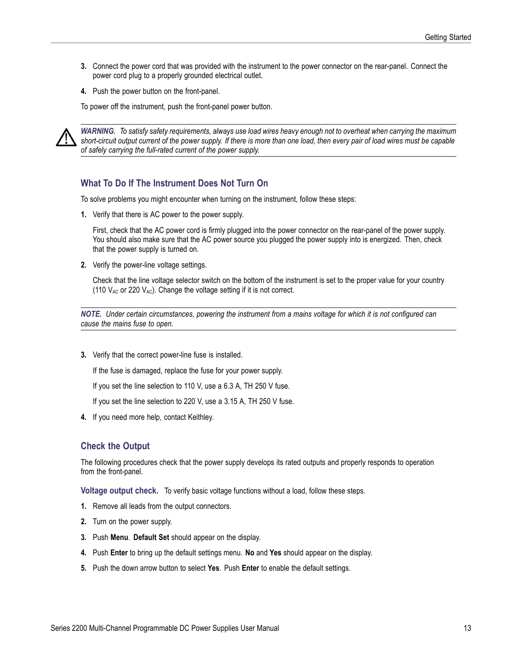- <span id="page-20-0"></span>**3.** Connect the power cord that was provided with the instrument to the power connector on the rear-panel. Connect the power cord plug to a properly grounded electrical outlet.
- **4.** Push the power button on the front-panel.

To power off the instrument, push the front-panel power button.



*WARNING. To satisfy safety requirements, always use load wires heavy enough not to overheat when carrying the maximum short-circuit output current of the power supply. If there is more than one load, then every pair of load wires must be capable of safely carrying the full-rated current of the power supply.*

#### **What To Do If The Instrument Does Not Turn On**

To solve problems you might encounter when turning on the instrument, follow these steps:

**1.** Verify that there is AC power to the power supply.

First, check that the AC power cord is firmly plugged into the power connector on the rear-panel of the power supply. You should also make sure that the AC power source you plugged the power supply into is energized. Then, check that the power supply is turned on.

**2.** Verify the power-line voltage settings.

Check that the line voltage selector switch on the bottom of the instrument is set to the proper value for your country (110  $V_{AC}$  or 220  $V_{AC}$ ). Change the voltage setting if it is not correct.

*NOTE. Under certain circumstances, powering the instrument from a mains voltage for which it is not configured can cause the mains fuse to open.*

**3.** Verify that the correct power-line fuse is installed.

If the fuse is damaged, replace the fuse for your power supply.

If you set the line selection to 110 V, use a 6.3 A, TH 250 V fuse.

If you set the line selection to 220 V, use a 3.15 A, TH 250 V fuse.

**4.** If you need more help, contact Keithley.

#### **Check the Output**

The following procedures check that the power supply develops its rated outputs and properly responds to operation from the front-panel.

**Voltage output check.** To verify basic voltage functions without a load, follow these steps.

- **1.** Remove all leads from the output connectors.
- **2.** Turn on the power supply.
- **3.** Push **Menu**. **Default Set** should appear on the display.
- **4.** Push **Enter** to bring up the default settings menu. **No** and **Yes** should appear on the display.
- **5.** Push the down arrow button to select **Yes**. Push **Enter** to enable the default settings.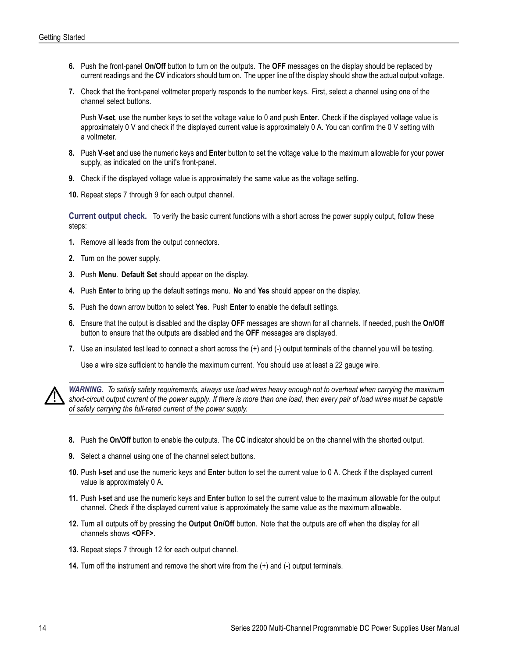- <span id="page-21-0"></span>**6.** Push the front-panel **On/Off** button to turn on the outputs. The **OFF** messages on the display should be replaced by current readings and the **CV** indicators should turn on. The upper line of the display should show the actual output voltage.
- **7.** Check that the front-panel voltmeter properly responds to the number keys. First, select a channel using one of the channel select buttons.

Push **V-set**, use the number keys to set the voltage value to 0 and push **Enter**. Check if the displayed voltage value is approximately 0 V and check if the displayed current value is approximately 0 A. You can confirm the 0 V setting with a voltmeter.

- **8.** Push **V-set** and use the numeric keys and **Enter** button to set the voltage value to the maximum allowable for your power supply, as indicated on the unit's front-panel.
- **9.** Check if the displayed voltage value is approximately the same value as the voltage setting.
- **10.** Repeat steps 7 through 9 for each output channel.

**Current output check.** To verify the basic current functions with a short across the power supply output, follow these steps:

- **1.** Remove all leads from the output connectors.
- **2.** Turn on the power supply.
- **3.** Push **Menu**. **Default Set** should appear on the display.
- **4.** Push **Enter** to bring up the default settings menu. **No** and **Yes** should appear on the display.
- **5.** Push the down arrow button to select **Yes**. Push **Enter** to enable the default settings.
- **6.** Ensure that the output is disabled and the display **OFF** messages are shown for all channels. If needed, push the **On/Off** button to ensure that the outputs are disabled and the **OFF** messages are displayed.
- **7.** Use an insulated test lead to connect a short across the (+) and (-) output terminals of the channel you will be testing.

Use a wire size sufficient to handle the maximum current. You should use at least a 22 gauge wire.



*WARNING. To satisfy safety requirements, always use load wires heavy enough not to overheat when carrying the maximum short-circuit output current of the power supply. If there is more than one load, then every pair of load wires must be capable of safely carrying the full-rated current of the power supply.*

- **8.** Push the **On/Off** button to enable the outputs. The **CC** indicator should be on the channel with the shorted output.
- **9.** Select a channel using one of the channel select buttons.
- **10.** Push **I-set** and use the numeric keys and **Enter** button to set the current value to 0 A. Check if the displayed current value is approximately 0 A.
- **11.** Push **I-set** and use the numeric keys and **Enter** button to set the current value to the maximum allowable for the output channel. Check if the displayed current value is approximately the same value as the maximum allowable.
- **12.** Turn all outputs off by pressing the **Output On/Off** button. Note that the outputs are off when the display for all channels shows **<OFF>**.
- **13.** Repeat steps 7 through 12 for each output channel.
- **14.** Turn off the instrument and remove the short wire from the  $(+)$  and  $(-)$  output terminals.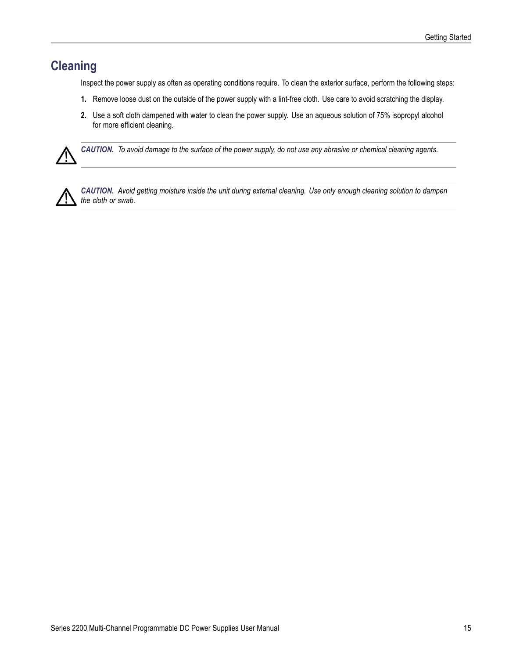# <span id="page-22-0"></span>**Cleaning**

Inspect the power supply as often as operating conditions require. To clean the exterior surface, perform the following steps:

- **1.** Remove loose dust on the outside of the power supply with a lint-free cloth. Use care to avoid scratching the display.
- **2.** Use a soft cloth dampened with water to clean the power supply. Use an aqueous solution of 75% isopropyl alcohol for more efficient cleaning.



*CAUTION. To avoid damage to the surface of the power supply, do not use any abrasive or chemical cleaning agents.*



*CAUTION. Avoid getting moisture inside the unit during external cleaning. Use only enough cleaning solution to dampen the cloth or swab.*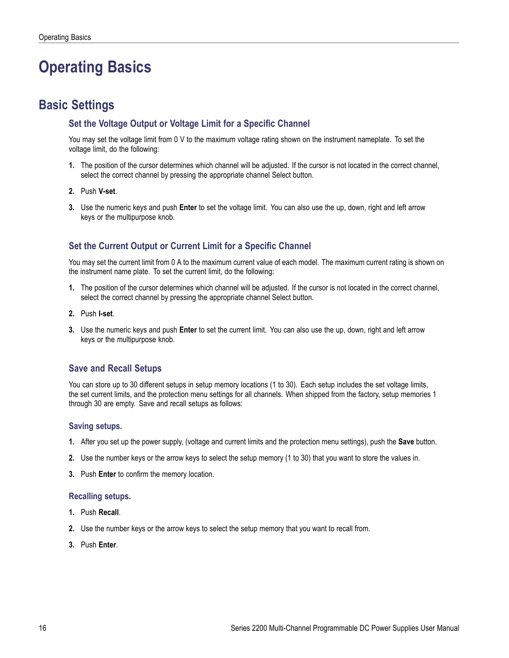# <span id="page-23-0"></span>**Operating Basics**

# **Basic Settings**

### **Set the Voltage Output or Voltage Limit for a Specific Channel**

You may set the voltage limit from 0 V to the maximum voltage rating shown on the instrument nameplate. To set the voltage limit, do the following:

- **1.** The position of the cursor determines which channel will be adjusted. If the cursor is not located in the correct channel, select the correct channel by pressing the appropriate channel Select button.
- **2.** Push **V-set**.
- **3.** Use the numeric keys and push **Enter** to set the voltage limit. You can also use the up, down, right and left arrow keys or the multipurpose knob.

### **Set the Current Output or Current Limit for a Specific Channel**

You may set the current limit from 0 A to the maximum current value of each model. The maximum current rating is shown on the instrument name plate. To set the current limit, do the following:

- **1.** The position of the cursor determines which channel will be adjusted. If the cursor is not located in the correct channel, select the correct channel by pressing the appropriate channel Select button.
- **2.** Push **I-set**.
- **3.** Use the numeric keys and push **Enter** to set the current limit. You can also use the up, down, right and left arrow keys or the multipurpose knob.

#### **Save and Recall Setups**

You can store up to 30 different setups in setup memory locations (1 to 30). Each setup includes the set voltage limits, the set current limits, and the protection menu settings for all channels. When shipped from the factory, setup memories 1 through 30 are empty. Save and recall setups as follows:

#### **Saving setups.**

- **1.** After you set up the power supply, (voltage and current limits and the protection menu settings), push the **Save** button.
- **2.** Use the number keys or the arrow keys to select the setup memory (1 to 30) that you want to store the values in.
- **3.** Push **Enter** to confirm the memory location.

#### **Recalling setups.**

- **1.** Push **Recall**.
- **2.** Use the number keys or the arrow keys to select the setup memory that you want to recall from.
- **3.** Push **Enter**.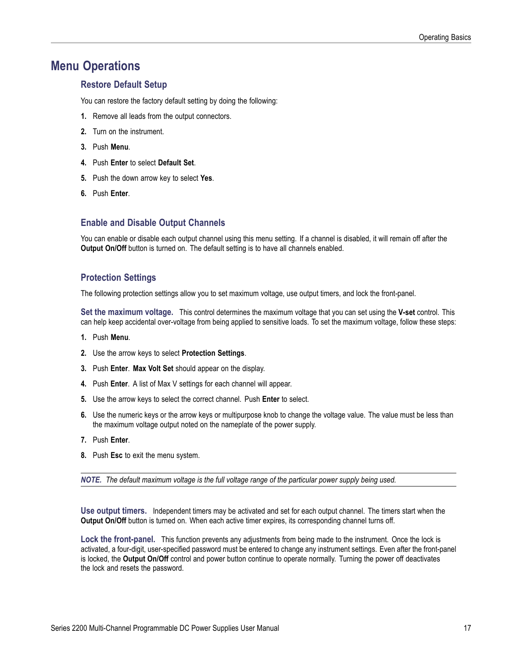### <span id="page-24-0"></span>**Menu Operations**

#### **Restore Default Setup**

You can restore the factory default setting by doing the following:

- **1.** Remove all leads from the output connectors.
- **2.** Turn on the instrument.
- **3.** Push **Menu**.
- **4.** Push **Enter** to select **Default Set**.
- **5.** Push the down arrow key to select **Yes**.
- **6.** Push **Enter**.

#### **Enable and Disable Output Channels**

You can enable or disable each output channel using this menu setting. If a channel is disabled, it will remain off after the **Output On/Off** button is turned on. The default setting is to have all channels enabled.

#### **Protection Settings**

The following protection settings allow you to set maximum voltage, use output timers, and lock the front-panel.

**Set the maximum voltage.** This control determines the maximum voltage that you can set using the **V-set** control. This can help keep accidental over-voltage from being applied to sensitive loads. To set the maximum voltage, follow these steps:

- **1.** Push **Menu**.
- **2.** Use the arrow keys to select **Protection Settings**.
- **3.** Push **Enter**. **Max Volt Set** should appear on the display.
- **4.** Push **Enter**. A list of Max V settings for each channel will appear.
- **5.** Use the arrow keys to select the correct channel. Push **Enter** to select.
- **6.** Use the numeric keys or the arrow keys or multipurpose knob to change the voltage value. The value must be less than the maximum voltage output noted on the nameplate of the power supply.
- **7.** Push **Enter**.
- **8.** Push **Esc** to exit the menu system.

*NOTE. The default maximum voltage is the full voltage range of the particular power supply being used.*

**Use output timers.** Independent timers may be activated and set for each output channel. The timers start when the **Output On/Off** button is turned on. When each active timer expires, its corresponding channel turns off.

Lock the front-panel. This function prevents any adjustments from being made to the instrument. Once the lock is activated, a four-digit, user-specified password must be entered to change any instrument settings. Even after the front-panel is locked, the **Output On/Off** control and power button continue to operate normally. Turning the power off deactivates the lock and resets the password.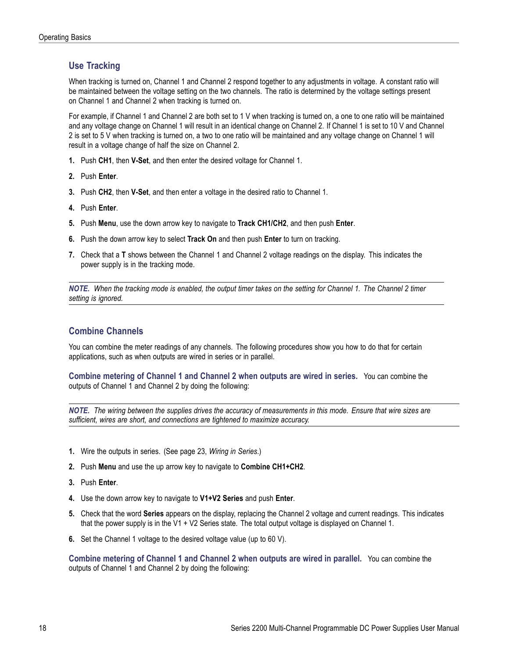#### <span id="page-25-0"></span>**Use Tracking**

When tracking is turned on, Channel 1 and Channel 2 respond together to any adjustments in voltage. A constant ratio will be maintained between the voltage setting on the two channels. The ratio is determined by the voltage settings present on Channel 1 and Channel 2 when tracking is turned on.

For example, if Channel 1 and Channel 2 are both set to 1 V when tracking is turned on, a one to one ratio will be maintained and any voltage change on Channel 1 will result in an identical change on Channel 2. If Channel 1 is set to 10 V and Channel 2 is set to 5 V when tracking is turned on, a two to one ratio will be maintained and any voltage change on Channel 1 will result in a voltage change of half the size on Channel 2.

- **1.** Push **CH1**, then **V-Set**, and then enter the desired voltage for Channel 1.
- **2.** Push **Enter**.
- **3.** Push **CH2**, then **V-Set**, and then enter a voltage in the desired ratio to Channel 1.
- **4.** Push **Enter**.
- **5.** Push **Menu**, use the down arrow key to navigate to **Track CH1/CH2**, and then push **Enter**.
- **6.** Push the down arrow key to select **Track On** and then push **Enter** to turn on tracking.
- **7.** Check that a **T** shows between the Channel 1 and Channel 2 voltage readings on the display. This indicates the power supply is in the tracking mode.

*NOTE. When the tracking mode is enabled, the output timer takes on the setting for Channel 1. The Channel 2 timer setting is ignored.*

#### **Combine Channels**

You can combine the meter readings of any channels. The following procedures show you how to do that for certain applications, such as when outputs are wired in series or in parallel.

**Combine metering of Channel 1 and Channel 2 when outputs are wired in series.** You can combine the outputs of Channel 1 and Channel 2 by doing the following:

*NOTE. The wiring between the supplies drives the accuracy of measurements in this mode. Ensure that wire sizes are sufficient, wires are short, and connections are tightened to maximize accuracy.*

- **1.** Wire the outputs in series. [\(See page 23,](#page-30-0) *[Wiring in Series](#page-30-0)*.)
- **2.** Push **Menu** and use the up arrow key to navigate to **Combine CH1+CH2**.
- **3.** Push **Enter**.
- **4.** Use the down arrow key to navigate to **V1+V2 Series** and push **Enter**.
- **5.** Check that the word **Series** appears on the display, replacing the Channel 2 voltage and current readings. This indicates that the power supply is in the V1 + V2 Series state. The total output voltage is displayed on Channel 1.
- **6.** Set the Channel 1 voltage to the desired voltage value (up to 60 V).

**Combine metering of Channel 1 and Channel 2 when outputs are wired in parallel.** You can combine the outputs of Channel 1 and Channel 2 by doing the following: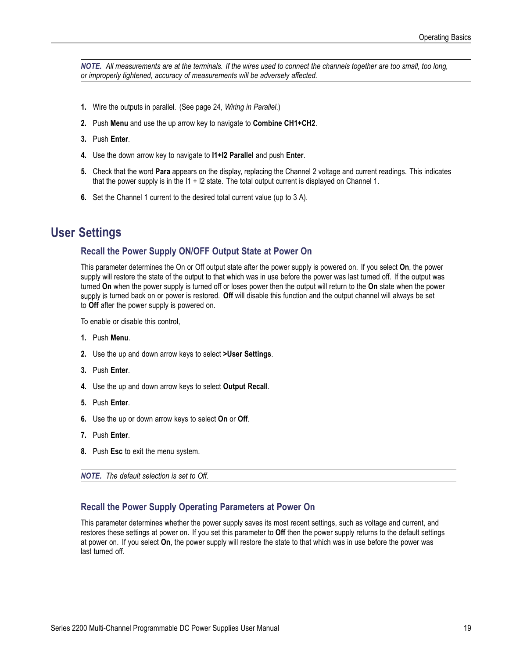<span id="page-26-0"></span>*NOTE. All measurements are at the terminals. If the wires used to connect the channels together are too small, too long, or improperly tightened, accuracy of measurements will be adversely affected.*

- **1.** Wire the outputs in parallel. [\(See page 24,](#page-31-0) *[Wiring in Parallel](#page-31-0)*.)
- **2.** Push **Menu** and use the up arrow key to navigate to **Combine CH1+CH2**.
- **3.** Push **Enter**.
- **4.** Use the down arrow key to navigate to **I1+I2 Parallel** and push **Enter**.
- **5.** Check that the word **Para** appears on the display, replacing the Channel 2 voltage and current readings. This indicates that the power supply is in the  $11 + 12$  state. The total output current is displayed on Channel 1.
- **6.** Set the Channel 1 current to the desired total current value (up to 3 A).

### **User Settings**

#### **Recall the Power Supply ON/OFF Output State at Power On**

This parameter determines the On or Off output state after the power supply is powered on. If you select **On**, the power supply will restore the state of the output to that which was in use before the power was last turned off. If the output was turned **On** when the power supply is turned off or loses power then the output will return to the **On** state when the power supply is turned back on or power is restored. **Off** will disable this function and the output channel will always be set to **Off** after the power supply is powered on.

To enable or disable this control,

- **1.** Push **Menu**.
- **2.** Use the up and down arrow keys to select **>User Settings**.
- **3.** Push **Enter**.
- **4.** Use the up and down arrow keys to select **Output Recall**.
- **5.** Push **Enter**.
- **6.** Use the up or down arrow keys to select **On** or **Off**.
- **7.** Push **Enter**.
- **8.** Push **Esc** to exit the menu system.

*NOTE. The default selection is set to Off.*

#### **Recall the Power Supply Operating Parameters at Power On**

This parameter determines whether the power supply saves its most recent settings, such as voltage and current, and restores these settings at power on. If you set this parameter to **Off** then the power supply returns to the default settings at power on. If you select **On**, the power supply will restore the state to that which was in use before the power was last turned off.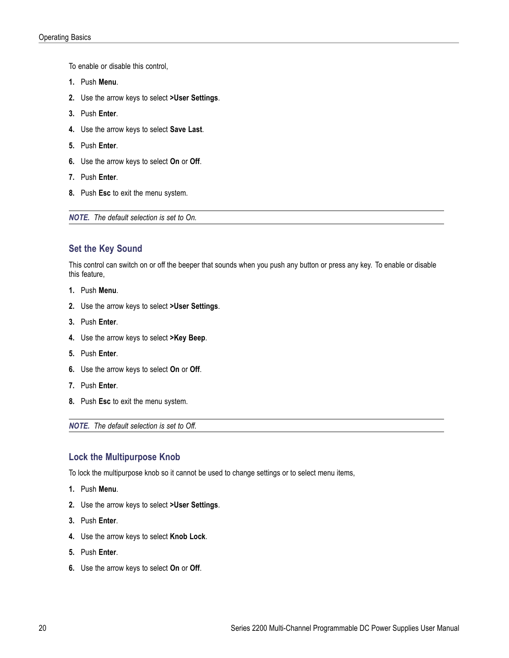<span id="page-27-0"></span>To enable or disable this control,

- **1.** Push **Menu**.
- **2.** Use the arrow keys to select **>User Settings**.
- **3.** Push **Enter**.
- **4.** Use the arrow keys to select **Save Last**.
- **5.** Push **Enter**.
- **6.** Use the arrow keys to select **On** or **Off**.
- **7.** Push **Enter**.
- **8.** Push **Esc** to exit the menu system.

*NOTE. The default selection is set to On.*

#### **Set the Key Sound**

This control can switch on or off the beeper that sounds when you push any button or press any key. To enable or disable this feature,

- **1.** Push **Menu**.
- **2.** Use the arrow keys to select **>User Settings**.
- **3.** Push **Enter**.
- **4.** Use the arrow keys to select **>Key Beep**.
- **5.** Push **Enter**.
- **6.** Use the arrow keys to select **On** or **Off**.
- **7.** Push **Enter**.
- **8.** Push **Esc** to exit the menu system.

*NOTE. The default selection is set to Off.*

#### **Lock the Multipurpose Knob**

To lock the multipurpose knob so it cannot be used to change settings or to select menu items,

- **1.** Push **Menu**.
- **2.** Use the arrow keys to select **>User Settings**.
- **3.** Push **Enter**.
- **4.** Use the arrow keys to select **Knob Lock**.
- **5.** Push **Enter**.
- **6.** Use the arrow keys to select **On** or **Off**.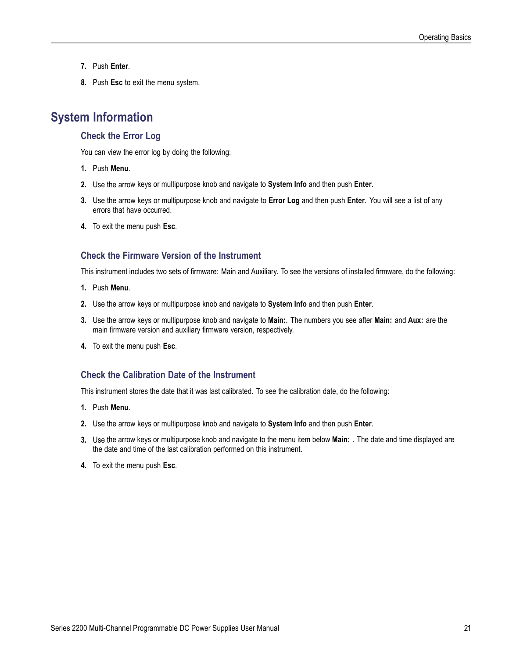- <span id="page-28-0"></span>**7.** Push **Enter**.
- **8.** Push **Esc** to exit the menu system.

### **System Information**

#### **Check the Error Log**

You can view the error log by doing the following:

- **1.** Push **Menu**.
- **2.** Use the arrow keys or multipurpose knob and navigate to **System Info** and then push **Enter**.
- **3.** Use the arrow keys or multipurpose knob and navigate to **Error Log** and then push **Enter**. You will see a list of any errors that have occurred.
- **4.** To exit the menu push **Esc**.

#### **Check the Firmware Version of the Instrument**

This instrument includes two sets of firmware: Main and Auxiliary. To see the versions of installed firmware, do the following:

- **1.** Push **Menu**.
- **2.** Use the arrow keys or multipurpose knob and navigate to **System Info** and then push **Enter**.
- **3.** Use the arrow keys or multipurpose knob and navigate to **Main:**. The numbers you see after **Main:** and **Aux:** are the main firmware version and auxiliary firmware version, respectively.
- **4.** To exit the menu push **Esc**.

#### **Check the Calibration Date of the Instrument**

This instrument stores the date that it was last calibrated. To see the calibration date, do the following:

- **1.** Push **Menu**.
- **2.** Use the arrow keys or multipurpose knob and navigate to **System Info** and then push **Enter**.
- **3.** Use the arrow keys or multipurpose knob and navigate to the menu item below **Main:** . The date and time displayed are the date and time of the last calibration performed on this instrument.
- **4.** To exit the menu push **Esc**.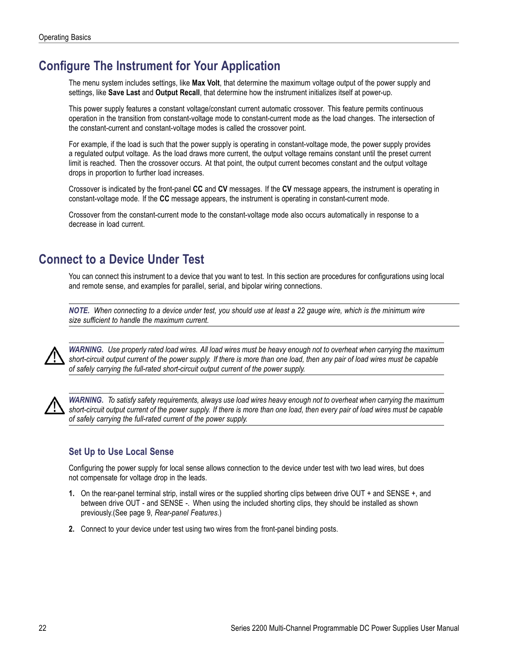# <span id="page-29-0"></span>**Configure The Instrument for Your Application**

The menu system includes settings, like **Max Volt**, that determine the maximum voltage output of the power supply and settings, like **Save Last** and **Output Recall**, that determine how the instrument initializes itself at power-up.

This power supply features a constant voltage/constant current automatic crossover. This feature permits continuous operation in the transition from constant-voltage mode to constant-current mode as the load changes. The intersection of the constant-current and constant-voltage modes is called the crossover point.

For example, if the load is such that the power supply is operating in constant-voltage mode, the power supply provides a regulated output voltage. As the load draws more current, the output voltage remains constant until the preset current limit is reached. Then the crossover occurs. At that point, the output current becomes constant and the output voltage drops in proportion to further load increases.

Crossover is indicated by the front-panel **CC** and **CV** messages. If the **CV** message appears, the instrument is operating in constant-voltage mode. If the **CC** message appears, the instrument is operating in constant-current mode.

Crossover from the constant-current mode to the constant-voltage mode also occurs automatically in response to a decrease in load current.

## **Connect to a Device Under Test**

You can connect this instrument to a device that you want to test. In this section are procedures for configurations using local and remote sense, and examples for parallel, serial, and bipolar wiring connections.

*NOTE. When connecting to a device under test, you should use at least a 22 gauge wire, which is the minimum wire size sufficient to handle the maximum current.*



*WARNING. Use properly rated load wires. All load wires must be heavy enough not to overheat when carrying the maximum short-circuit output current of the power supply. If there is more than one load, then any pair of load wires must be capable of safely carrying the full-rated short-circuit output current of the power supply.*



*WARNING. To satisfy safety requirements, always use load wires heavy enough not to overheat when carrying the maximum short-circuit output current of the power supply. If there is more than one load, then every pair of load wires must be capable of safely carrying the full-rated current of the power supply.*

### **Set Up to Use Local Sense**

Configuring the power supply for local sense allows connection to the device under test with two lead wires, but does not compensate for voltage drop in the leads.

- **1.** On the rear-panel terminal strip, install wires or the supplied shorting clips between drive OUT + and SENSE +, and between drive OUT - and SENSE -. When using the included shorting clips, they should be installed as shown previously.[\(See page 9](#page-16-0), *[Rear-panel Features](#page-16-0)*.)
- **2.** Connect to your device under test using two wires from the front-panel binding posts.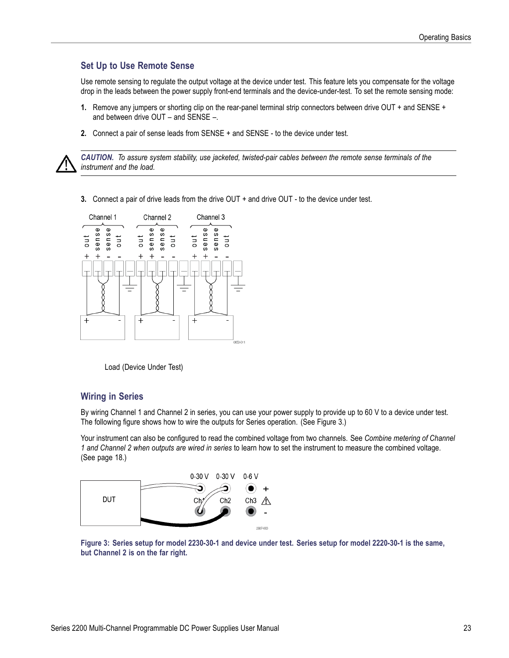#### <span id="page-30-0"></span>**Set Up to Use Remote Sense**

Use remote sensing to regulate the output voltage at the device under test. This feature lets you compensate for the voltage drop in the leads between the power supply front-end terminals and the device-under-test. To set the remote sensing mode:

- **1.** Remove any jumpers or shorting clip on the rear-panel terminal strip connectors between drive OUT + and SENSE + and between drive OUT – and SENSE –.
- **2.** Connect a pair of sense leads from SENSE + and SENSE to the device under test.



*CAUTION. To assure system stability, use jacketed, twisted-pair cables between the remote sense terminals of the instrument and the load.*

**3.** Connect a pair of drive leads from the drive OUT + and drive OUT - to the device under test.



Load (Device Under Test)

#### **Wiring in Series**

By wiring Channel 1 and Channel 2 in series, you can use your power supply to provide up to 60 V to a device under test. The following figure shows how to wire the outputs for Series operation. (See Figure 3.)

Your instrument can also be configured to read the combined voltage from two channels. See *Combine metering of Channel 1 and Channel 2 when outputs are wired in series* to learn how to set the instrument to measure the combined voltage. [\(See page 18.\)](#page-25-0)



**Figure 3: Series setup for model 2230-30-1 and device under test. Series setup for model 2220-30-1 is the same, but Channel 2 is on the far right.**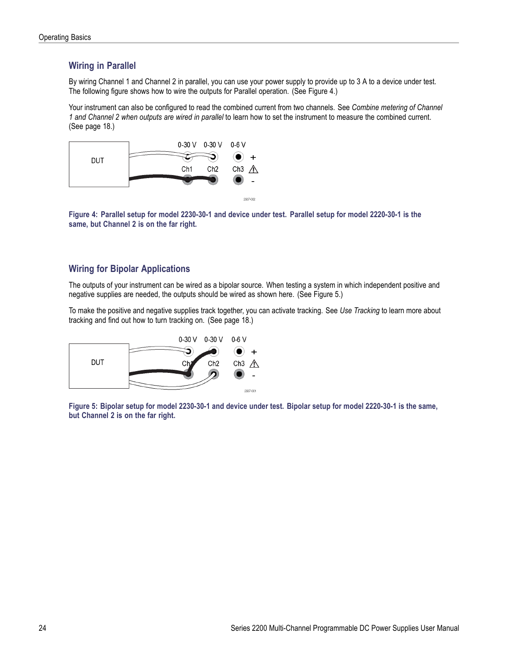### <span id="page-31-0"></span>**Wiring in Parallel**

By wiring Channel 1 and Channel 2 in parallel, you can use your power supply to provide up to 3 A to a device under test. The following figure shows how to wire the outputs for Parallel operation. (See Figure 4.)

Your instrument can also be configured to read the combined current from two channels. See *Combine metering of Channel 1 and Channel 2 when outputs are wired in parallel* to learn how to set the instrument to measure the combined current. [\(See page 18.\)](#page-25-0)



**Figure 4: Parallel setup for model 2230-30-1 and device under test. Parallel setup for model 2220-30-1 is the same, but Channel 2 is on the far right.**

#### **Wiring for Bipolar Applications**

The outputs of your instrument can be wired as a bipolar source. When testing a system in which independent positive and negative supplies are needed, the outputs should be wired as shown here. (See Figure 5.)

To make the positive and negative supplies track together, you can activate tracking. See *Use Tracking* to learn more about tracking and find out how to turn tracking on. [\(See page 18.\)](#page-25-0)



**Figure 5: Bipolar setup for model 2230-30-1 and device under test. Bipolar setup for model 2220-30-1 is the same, but Channel 2 is on the far right.**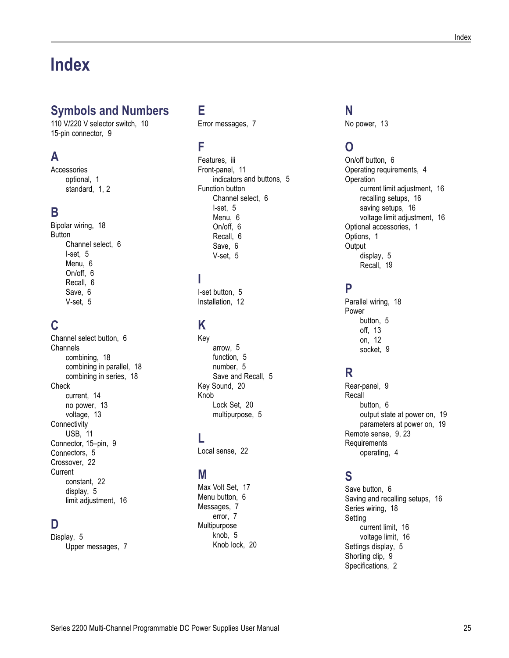# <span id="page-32-0"></span>**Index**

## **Symbols and Numbers**

[110 V/220 V selector switch](#page-17-0), [10](#page-17-0) [15-pin connector, 9](#page-16-0)

## **A**

[Accessories](#page-8-0) [optional, 1](#page-8-0) standard, [1,](#page-8-0) [2](#page-9-0)

### **B**

[Bipolar wiring, 18](#page-25-0) [Button](#page-13-0) [Channel select, 6](#page-13-0) [I-set](#page-12-0), [5](#page-12-0) [Menu, 6](#page-13-0) [On/off](#page-13-0), [6](#page-13-0) [Recall,](#page-13-0) [6](#page-13-0) [Save, 6](#page-13-0) [V-set](#page-12-0), [5](#page-12-0)

## **C**

[Channel select button, 6](#page-13-0) **[Channels](#page-25-0)** [combining, 18](#page-25-0) [combining in parallel](#page-25-0), [18](#page-25-0) [combining in series, 18](#page-25-0) **[Check](#page-21-0)** [current, 14](#page-21-0) [no power](#page-20-0), [13](#page-20-0) [voltage, 13](#page-20-0) **[Connectivity](#page-18-0)** [USB](#page-18-0), [11](#page-18-0) [Connector, 15–pin](#page-16-0), [9](#page-16-0) [Connectors](#page-12-0), [5](#page-12-0) [Crossover, 22](#page-29-0) **[Current](#page-29-0)** [constant](#page-29-0), [22](#page-29-0) [display, 5](#page-12-0) [limit adjustment](#page-23-0), [16](#page-23-0)

### **D**

[Display](#page-12-0), [5](#page-12-0) [Upper messages](#page-14-0), [7](#page-14-0)

# **E**

[Error messages](#page-14-0), [7](#page-14-0)

### **F**

[Features, iii](#page-6-0) [Front-panel](#page-18-0), [11](#page-18-0) indicators [and buttons, 5](#page-12-0) [Function button](#page-13-0) [Channel select, 6](#page-13-0) [I-set](#page-12-0), [5](#page-12-0) [Menu, 6](#page-13-0) [On/off](#page-13-0), [6](#page-13-0) [Recall](#page-13-0), [6](#page-13-0) [Save, 6](#page-13-0) [V-set](#page-12-0), [5](#page-12-0)

### **I**

[I-set button, 5](#page-12-0) [Installation](#page-19-0), [12](#page-19-0)

## **K**

[Key](#page-12-0) [arrow,](#page-12-0) [5](#page-12-0) [function, 5](#page-12-0) [number](#page-12-0), [5](#page-12-0) [Save and Recall](#page-12-0), [5](#page-12-0) [Key Sound, 20](#page-27-0) [Knob](#page-27-0) [Lock Set, 20](#page-27-0) [multipurpose](#page-12-0), [5](#page-12-0)

### **L**

[Local sense](#page-29-0), [22](#page-29-0)

### **M**

Max [Volt Set, 17](#page-24-0) [Menu button](#page-13-0), [6](#page-13-0) [Messages, 7](#page-14-0) [error, 7](#page-14-0) [Multipurpose](#page-12-0) [knob](#page-12-0), [5](#page-12-0) [Knob lock, 20](#page-27-0)

### **N** [No power, 13](#page-20-0)

# **O**

[On/off button, 6](#page-13-0) [Operating requirements, 4](#page-11-0) **[Operation](#page-23-0)** [current limit adjustment](#page-23-0), [16](#page-23-0) [recalling setups](#page-23-0), [16](#page-23-0) [saving setups, 16](#page-23-0) [voltage limit adjustment](#page-23-0), [16](#page-23-0) [Optional accessories, 1](#page-8-0) [Options, 1](#page-8-0) **[Output](#page-12-0)** [display, 5](#page-12-0) [Recall](#page-26-0), [19](#page-26-0)

### **P**

[Parallel wiring, 18](#page-25-0) [Power](#page-12-0) [button](#page-12-0), [5](#page-12-0) [off](#page-20-0), [13](#page-20-0) [on](#page-19-0), [12](#page-19-0) [socket](#page-16-0), [9](#page-16-0)

# **R**

[Rear-panel, 9](#page-16-0) [Recall](#page-13-0) [button](#page-13-0), [6](#page-13-0) [output state at power on, 19](#page-26-0) [parameters at power on](#page-26-0), [19](#page-26-0) Remote sense, [9](#page-16-0), [23](#page-30-0) **[Requirements](#page-11-0)** [operating, 4](#page-11-0)

## **S**

[Save button](#page-13-0), [6](#page-13-0) [Saving and recalling setups, 16](#page-23-0) [Series wiring, 18](#page-25-0) [Setting](#page-23-0) [current limit, 16](#page-23-0) [voltage limit, 16](#page-23-0) [Settings display, 5](#page-12-0) [Shorting clip, 9](#page-16-0) [Specifications, 2](#page-9-0)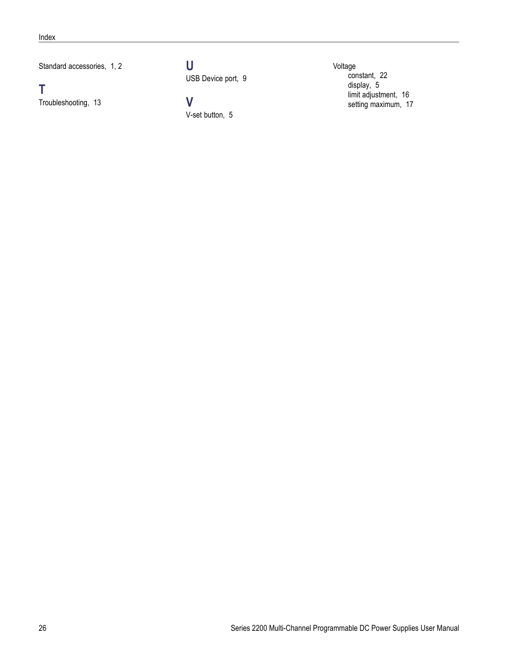Standard accessories, [1,](#page-8-0) [2](#page-9-0)

**T**

[Troubleshooting](#page-20-0), [13](#page-20-0)

**U** [USB Device port, 9](#page-16-0)

**V** [V-set button](#page-12-0), [5](#page-12-0) [Voltage](#page-29-0) [constant, 22](#page-29-0) [display](#page-12-0), [5](#page-12-0) [limit adjustment](#page-23-0), [16](#page-23-0) [setting maximum](#page-24-0), [17](#page-24-0)